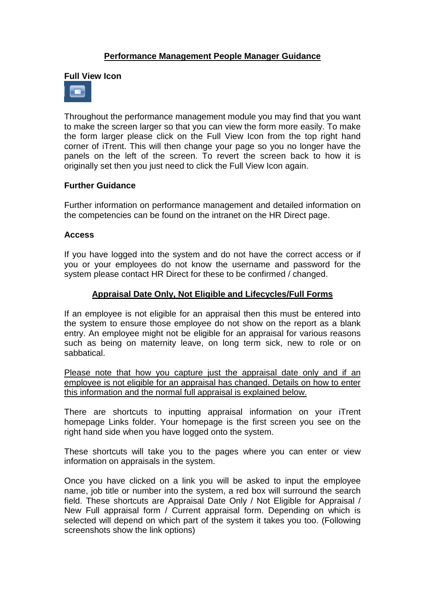## **Performance Management People Manager Guidance**

#### **Full View Icon**



Throughout the performance management module you may find that you want to make the screen larger so that you can view the form more easily. To make the form larger please click on the Full View Icon from the top right hand corner of iTrent. This will then change your page so you no longer have the panels on the left of the screen. To revert the screen back to how it is originally set then you just need to click the Full View Icon again.

### **Further Guidance**

Further information on performance management and detailed information on the competencies can be found on the intranet on the HR Direct page.

#### **Access**

If you have logged into the system and do not have the correct access or if you or your employees do not know the username and password for the system please contact HR Direct for these to be confirmed / changed.

### **Appraisal Date Only, Not Eligible and Lifecycles/Full Forms**

If an employee is not eligible for an appraisal then this must be entered into the system to ensure those employee do not show on the report as a blank entry. An employee might not be eligible for an appraisal for various reasons such as being on maternity leave, on long term sick, new to role or on sabbatical.

Please note that how you capture just the appraisal date only and if an employee is not eligible for an appraisal has changed. Details on how to enter this information and the normal full appraisal is explained below.

There are shortcuts to inputting appraisal information on your iTrent homepage Links folder. Your homepage is the first screen you see on the right hand side when you have logged onto the system.

These shortcuts will take you to the pages where you can enter or view information on appraisals in the system.

Once you have clicked on a link you will be asked to input the employee name, job title or number into the system, a red box will surround the search field. These shortcuts are Appraisal Date Only / Not Eligible for Appraisal / New Full appraisal form / Current appraisal form. Depending on which is selected will depend on which part of the system it takes you too. (Following screenshots show the link options)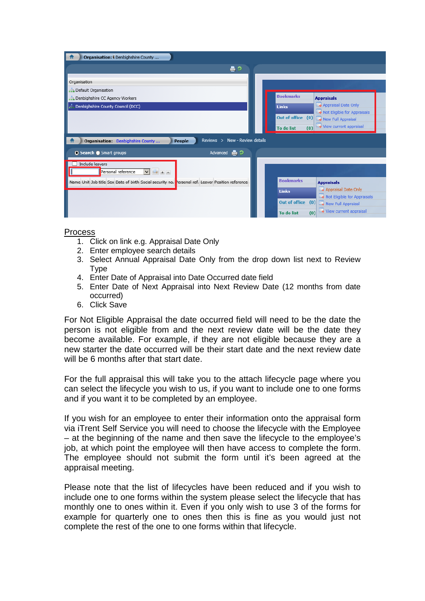| Organisation: Denbighshire County                                                                 |                                                                                                                                                                     |  |
|---------------------------------------------------------------------------------------------------|---------------------------------------------------------------------------------------------------------------------------------------------------------------------|--|
| 合っ                                                                                                |                                                                                                                                                                     |  |
| Organisation<br>Default Organisation<br>Denbighshire CC Agency Workers                            | <b>Bookmarks</b><br><b>Appraisals</b>                                                                                                                               |  |
| Denbighshire County Council (DCC)                                                                 | Appraisal Date Only<br><b>Links</b><br>Not Eligible for Appraisals<br>Out of office (0)<br>New Full Appraisal<br>View current appraisal<br><b>To do list</b><br>(0) |  |
| Reviews > New - Review details<br>Organisation: Denbighshire County<br>People                     |                                                                                                                                                                     |  |
| Advanced $\Box$<br>● Search ● Smart groups                                                        |                                                                                                                                                                     |  |
| Include leavers<br>Personal reference<br>$\vee$<br>take looks                                     |                                                                                                                                                                     |  |
| Name Unit Job title Sex Date of birth Social security no. Personal ref. Leaver Position reference | <b>Bookmarks</b><br><b>Appraisals</b>                                                                                                                               |  |
|                                                                                                   | Appraisal Date Only<br><b>Links</b><br>Not Eligible for Appraisals                                                                                                  |  |
|                                                                                                   | <b>Out of office</b><br>(0)<br>New Full Appraisal                                                                                                                   |  |
|                                                                                                   | View current appraisal<br>(0)<br><b>To do list</b>                                                                                                                  |  |

#### Process

- 1. Click on link e.g. Appraisal Date Only
- 2. Enter employee search details
- 3. Select Annual Appraisal Date Only from the drop down list next to Review **T**<sub>vpe</sub>
- 4. Enter Date of Appraisal into Date Occurred date field
- 5. Enter Date of Next Appraisal into Next Review Date (12 months from date occurred)
- 6. Click Save

For Not Eligible Appraisal the date occurred field will need to be the date the person is not eligible from and the next review date will be the date they become available. For example, if they are not eligible because they are a new starter the date occurred will be their start date and the next review date will be 6 months after that start date.

For the full appraisal this will take you to the attach lifecycle page where you can select the lifecycle you wish to us, if you want to include one to one forms and if you want it to be completed by an employee.

If you wish for an employee to enter their information onto the appraisal form via iTrent Self Service you will need to choose the lifecycle with the Employee – at the beginning of the name and then save the lifecycle to the employee's job, at which point the employee will then have access to complete the form. The employee should not submit the form until it's been agreed at the appraisal meeting.

Please note that the list of lifecycles have been reduced and if you wish to include one to one forms within the system please select the lifecycle that has monthly one to ones within it. Even if you only wish to use 3 of the forms for example for quarterly one to ones then this is fine as you would just not complete the rest of the one to one forms within that lifecycle.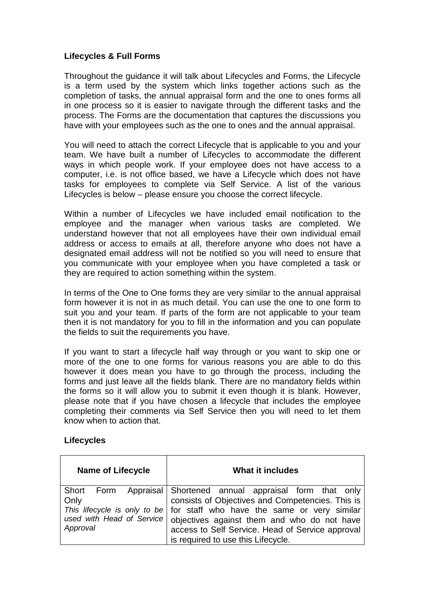## **Lifecycles & Full Forms**

Throughout the guidance it will talk about Lifecycles and Forms, the Lifecycle is a term used by the system which links together actions such as the completion of tasks, the annual appraisal form and the one to ones forms all in one process so it is easier to navigate through the different tasks and the process. The Forms are the documentation that captures the discussions you have with your employees such as the one to ones and the annual appraisal.

You will need to attach the correct Lifecycle that is applicable to you and your team. We have built a number of Lifecycles to accommodate the different ways in which people work. If your employee does not have access to a computer, i.e. is not office based, we have a Lifecycle which does not have tasks for employees to complete via Self Service. A list of the various Lifecycles is below – please ensure you choose the correct lifecycle.

Within a number of Lifecycles we have included email notification to the employee and the manager when various tasks are completed. We understand however that not all employees have their own individual email address or access to emails at all, therefore anyone who does not have a designated email address will not be notified so you will need to ensure that you communicate with your employee when you have completed a task or they are required to action something within the system.

In terms of the One to One forms they are very similar to the annual appraisal form however it is not in as much detail. You can use the one to one form to suit you and your team. If parts of the form are not applicable to your team then it is not mandatory for you to fill in the information and you can populate the fields to suit the requirements you have.

If you want to start a lifecycle half way through or you want to skip one or more of the one to one forms for various reasons you are able to do this however it does mean you have to go through the process, including the forms and just leave all the fields blank. There are no mandatory fields within the forms so it will allow you to submit it even though it is blank. However, please note that if you have chosen a lifecycle that includes the employee completing their comments via Self Service then you will need to let them know when to action that.

### **Lifecycles**

| <b>Name of Lifecycle</b> | <b>What it includes</b>                                                                                                                                                                                                                         |
|--------------------------|-------------------------------------------------------------------------------------------------------------------------------------------------------------------------------------------------------------------------------------------------|
| Short Form<br>Only       | Appraisal Shortened annual appraisal form that only<br>consists of Objectives and Competencies. This is                                                                                                                                         |
| Approval                 | This lifecycle is only to be   for staff who have the same or very similar<br>used with Head of Service   objectives against them and who do not have<br>access to Self Service. Head of Service approval<br>is required to use this Lifecycle. |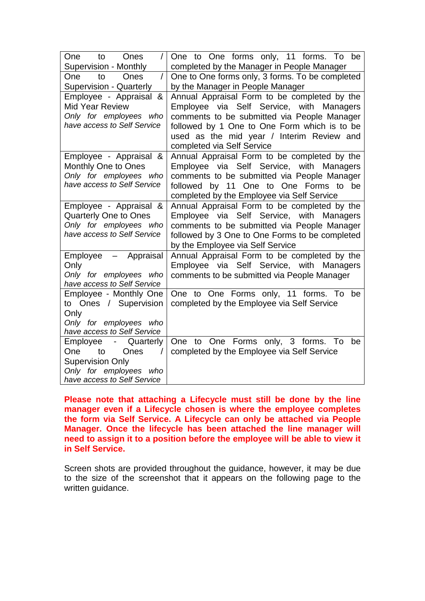| <b>One</b><br>to<br>Ones<br>$\sqrt{2}$<br><b>Supervision - Monthly</b> | One to One forms only, 11 forms. To be<br>completed by the Manager in People Manager          |
|------------------------------------------------------------------------|-----------------------------------------------------------------------------------------------|
| One<br>Ones<br>$\prime$<br>to                                          | One to One forms only, 3 forms. To be completed                                               |
| <b>Supervision - Quarterly</b>                                         | by the Manager in People Manager                                                              |
| Employee - Appraisal &                                                 | Annual Appraisal Form to be completed by the                                                  |
| <b>Mid Year Review</b>                                                 | Employee via Self Service, with Managers                                                      |
| Only for employees who                                                 | comments to be submitted via People Manager                                                   |
| have access to Self Service                                            | followed by 1 One to One Form which is to be                                                  |
|                                                                        | used as the mid year / Interim Review and                                                     |
|                                                                        | completed via Self Service                                                                    |
| Employee - Appraisal &                                                 | Annual Appraisal Form to be completed by the                                                  |
| Monthly One to Ones                                                    | Employee via Self Service, with Managers                                                      |
| Only for employees who<br>have access to Self Service                  | comments to be submitted via People Manager<br>11 One to One Forms to<br>be<br>followed<br>by |
|                                                                        | completed by the Employee via Self Service                                                    |
| Employee - Appraisal &                                                 | Annual Appraisal Form to be completed by the                                                  |
| <b>Quarterly One to Ones</b>                                           | Employee via Self Service, with Managers                                                      |
| Only for employees who                                                 | comments to be submitted via People Manager                                                   |
| have access to Self Service                                            | followed by 3 One to One Forms to be completed                                                |
|                                                                        | by the Employee via Self Service                                                              |
| Employee<br>Appraisal<br>$\qquad \qquad -$                             | Annual Appraisal Form to be completed by the                                                  |
| Only                                                                   | Employee via Self Service, with Managers                                                      |
| Only for employees who                                                 | comments to be submitted via People Manager                                                   |
| have access to Self Service                                            |                                                                                               |
| Employee - Monthly One                                                 | One to One Forms only, 11 forms. To<br>be                                                     |
| to Ones / Supervision                                                  | completed by the Employee via Self Service                                                    |
| Only<br>Only for employees who                                         |                                                                                               |
| have access to Self Service                                            |                                                                                               |
| Employee<br>Quarterly<br>$\sim 100$                                    | One to One Forms only, 3 forms. To<br>be                                                      |
| to<br>Ones<br>One:                                                     | completed by the Employee via Self Service                                                    |
| <b>Supervision Only</b>                                                |                                                                                               |
| Only for employees who                                                 |                                                                                               |
| have access to Self Service                                            |                                                                                               |

**Please note that attaching a Lifecycle must still be done by the line manager even if a Lifecycle chosen is where the employee completes the form via Self Service. A Lifecycle can only be attached via People Manager. Once the lifecycle has been attached the line manager will need to assign it to a position before the employee will be able to view it in Self Service.**

Screen shots are provided throughout the guidance, however, it may be due to the size of the screenshot that it appears on the following page to the written guidance.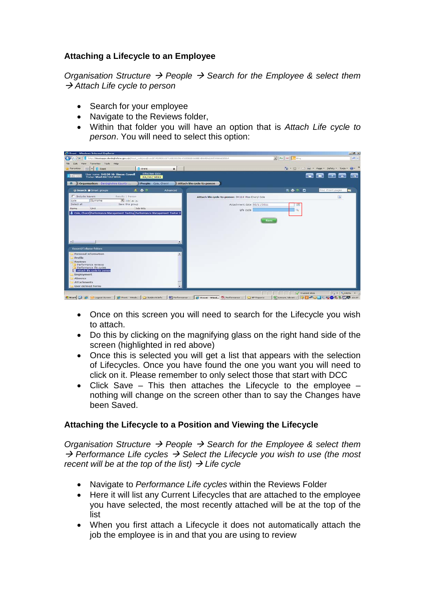# **Attaching a Lifecycle to an Employee**

*Organisation Structure People Search for the Employee & select them Attach Life cycle to person*

- Search for your employee
- Navigate to the Reviews folder,
- Within that folder you will have an option that is *Attach Life cycle to person*. You will need to select this option:

|                                                                                 |                                     |                        |                                                                                                                                        | $-101 \times$ |
|---------------------------------------------------------------------------------|-------------------------------------|------------------------|----------------------------------------------------------------------------------------------------------------------------------------|---------------|
|                                                                                 |                                     |                        | $-4$ $\times$ $-$ and<br>E http://ttestapps.denbighshire.gov.uk/ttest_web/wrd/run/ETADM001GP7USESSD0N=F1EDB2D368BE4BAABA62DF090D6EESDA | $\rho$ .      |
| Favorites Tools Help<br><b>Views</b>                                            |                                     |                        |                                                                                                                                        |               |
| $\mathbf{F}$ [] (Trent)<br>Favorites<br>88                                      | Il ifrent                           | $\times$               | $\frac{1}{2}$ - $\frac{1}{2}$ - $\frac{1}{2}$ mm - Page - Safety - Tools - $\frac{1}{2}$ -                                             |               |
| User name: 94109 Mr Simon Cowell<br><b>H</b> Trent<br>Today: Wed 02/11/2011     | <b>Effective date</b><br>02/11/2011 |                        | <b>See Co</b><br>$E_{2}$                                                                                                               |               |
|                                                                                 |                                     |                        |                                                                                                                                        |               |
| Organisation: Denbiohshire County                                               | People: Cole, Cheryl                |                        | Attach life cycle to person                                                                                                            |               |
| O Search # Smart groups                                                         | 友善の                                 | Advanced               | <b>KADD</b><br>Find iTrent pages                                                                                                       | l Po          |
| <b>F</b> Include leavers                                                        | Results 1 Person                    |                        | Attach life cycle to person: 94110 Miss Cheryl Cole                                                                                    | a             |
| Surname<br>cole                                                                 | <b>College Law Amer</b>             |                        |                                                                                                                                        |               |
| Select all<br><b>Unit</b><br>Nama                                               | Save this group<br>Job title        |                        | Attachment date 02/11/2011                                                                                                             |               |
| 2. Cole, Cheryl Performance Management Testing Performance Management Tester 2. |                                     |                        | Life cycle                                                                                                                             |               |
|                                                                                 |                                     |                        |                                                                                                                                        |               |
|                                                                                 |                                     |                        |                                                                                                                                        |               |
|                                                                                 |                                     |                        |                                                                                                                                        |               |
|                                                                                 |                                     |                        | Save                                                                                                                                   |               |
|                                                                                 |                                     |                        |                                                                                                                                        |               |
|                                                                                 |                                     |                        |                                                                                                                                        |               |
|                                                                                 |                                     |                        |                                                                                                                                        |               |
|                                                                                 |                                     |                        |                                                                                                                                        |               |
| ×.                                                                              |                                     | $\rightarrow$          |                                                                                                                                        |               |
| <b>Expand/Colapse folders</b>                                                   |                                     |                        |                                                                                                                                        |               |
| Personal information                                                            |                                     | $\left  \cdot \right $ |                                                                                                                                        |               |
| Profile                                                                         |                                     |                        |                                                                                                                                        |               |
| <b>Reviews</b>                                                                  |                                     |                        |                                                                                                                                        |               |
| Performance reviews                                                             |                                     |                        |                                                                                                                                        |               |
| Performance life cycles                                                         |                                     |                        |                                                                                                                                        |               |
| Attach Ife cycle to person<br>Employment                                        |                                     |                        |                                                                                                                                        |               |
| Absence                                                                         |                                     |                        |                                                                                                                                        |               |
| <b>Attachments</b>                                                              |                                     |                        |                                                                                                                                        |               |
| <b>User defined forms</b>                                                       |                                     | ۰                      |                                                                                                                                        |               |

- Once on this screen you will need to search for the Lifecycle you wish to attach.
- Do this by clicking on the magnifying glass on the right hand side of the screen (highlighted in red above)
- Once this is selected you will get a list that appears with the selection of Lifecycles. Once you have found the one you want you will need to click on it. Please remember to only select those that start with DCC
- Click Save This then attaches the Lifecycle to the employee nothing will change on the screen other than to say the Changes have been Saved.

# **Attaching the Lifecycle to a Position and Viewing the Lifecycle**

*Organisation Structure People Search for the Employee & select them*  → Performance Life cycles → Select the Lifecycle you wish to use (the most *recent will be at the top of the list)*  $\rightarrow$  *Life cycle* 

- Navigate to *Performance Life cycles* within the Reviews Folder
- Here it will list any Current Lifecycles that are attached to the employee you have selected, the most recently attached will be at the top of the list
- When you first attach a Lifecycle it does not automatically attach the job the employee is in and that you are using to review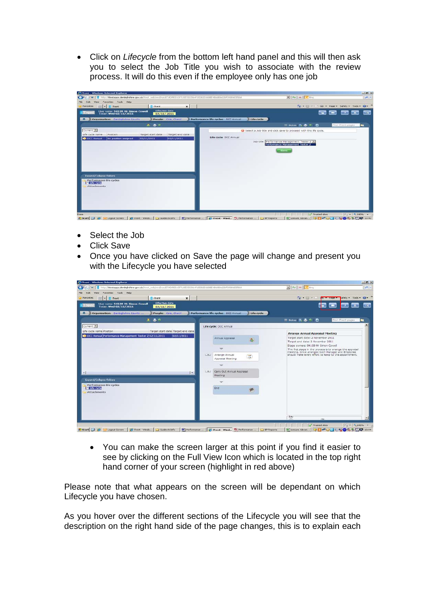• Click on *Lifecycle* from the bottom left hand panel and this will then ask you to select the Job Title you wish to associate with the review process. It will do this even if the employee only has one job



- Select the Job
- **Click Save**
- Once you have clicked on Save the page will change and present you with the Lifecycle you have selected

| $\mathbb{R}$ $\rightarrow$ $\mathbb{X}$ $\sim$ $\mathbb{R}$ $\mathbb{R}$<br>$\Omega$ .<br>The Ed r Life Page Tafety - Tools - 22 |
|----------------------------------------------------------------------------------------------------------------------------------|
|                                                                                                                                  |
|                                                                                                                                  |
|                                                                                                                                  |
|                                                                                                                                  |
|                                                                                                                                  |
| <b>■ Notes 長島の ■</b><br>Find iTrent pages                                                                                        |
|                                                                                                                                  |
| <b>Arrange Annual Appraisal Meeting</b>                                                                                          |
| Target start date: 2 November 2011<br>Target end date: 2 November 2011<br>Stage owners: 94109 Mr Simon Cowell                    |
| The first stage in the process is to arrange the appraisal                                                                       |
| meeting. Once arranged both Manager and Employee<br>should make every effort to keep to this appointment.                        |
|                                                                                                                                  |
|                                                                                                                                  |
|                                                                                                                                  |
|                                                                                                                                  |
|                                                                                                                                  |
|                                                                                                                                  |
| <b>STAR</b>                                                                                                                      |
|                                                                                                                                  |

• You can make the screen larger at this point if you find it easier to see by clicking on the Full View Icon which is located in the top right hand corner of your screen (highlight in red above)

Please note that what appears on the screen will be dependant on which Lifecycle you have chosen.

As you hover over the different sections of the Lifecycle you will see that the description on the right hand side of the page changes, this is to explain each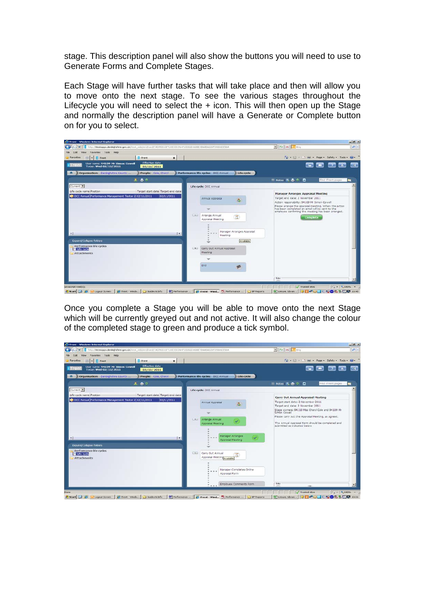stage. This description panel will also show the buttons you will need to use to Generate Forms and Complete Stages.

Each Stage will have further tasks that will take place and then will allow you to move onto the next stage. To see the various stages throughout the Lifecycle you will need to select the + icon. This will then open up the Stage and normally the description panel will have a Generate or Complete button on for you to select.



Once you complete a Stage you will be able to move onto the next Stage which will be currently greyed out and not active. It will also change the colour of the completed stage to green and produce a tick symbol.

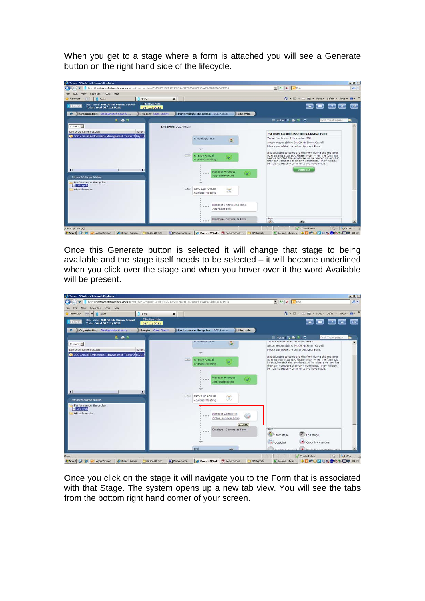When you get to a stage where a form is attached you will see a Generate button on the right hand side of the lifecycle.

| CiTrent - Windows Internet Explorer                                                                            | $-101 \times$                                                                                                                                                              |
|----------------------------------------------------------------------------------------------------------------|----------------------------------------------------------------------------------------------------------------------------------------------------------------------------|
| F Http://ttestapps.denbighshire.gov.uk/ttest_web/wrd/run/ETADM001GF7LISESSION=F1EDB2D368BE4BAABA62DF098D6EESDA | $\bullet$ $\times$ $\bullet$ Brig<br>$\alpha$                                                                                                                              |
| View Favorites Tools Help<br>Edit                                                                              |                                                                                                                                                                            |
| <b>Il</b> iTreck<br>Favorites<br>$SIS$ - $\prod$ iTrent<br>$\times$                                            | ☆ → 同 - 二 mm + Page + Safety + Tools + ★ +                                                                                                                                 |
| Effective date<br>User name: 94109 Mr Simon Cowell<br><b>i</b> Trent<br>Today: Wed 02/11/2011<br>02/11/2011    | <b>CONTRACTOR</b><br>27                                                                                                                                                    |
| Organisation: Denbighshire County<br>People: Cole, Cheryl<br>Performance life cycles: DCC Annual<br>Life cycle |                                                                                                                                                                            |
| 木 森 2                                                                                                          | Find iTrent pages<br>■ Notes 医晶 2 D                                                                                                                                        |
| Current 36<br>Life cycle: DCC Annual                                                                           |                                                                                                                                                                            |
| Life cycle name Position<br>Target<br>DCC Annual Performance Management Tester 2 02/11                         | <b>Manager Completes Online Appraisal Form</b>                                                                                                                             |
| Annual Appraisal<br>矗                                                                                          | Target end date: 2 November 2011<br>Action responsibility: 94109 Mr Simon Cowell                                                                                           |
|                                                                                                                | Please complete the online Appraisal Form.                                                                                                                                 |
|                                                                                                                | It is advisable to complete this form during the meeting                                                                                                                   |
| <b>Lima</b><br>Arrange Annual<br>Appraisal Meeting                                                             | to ensure its accuracy. Please note, when the form has<br>been submitted the employee will be alerted via email so<br>they can complete their own comments. They will also |
|                                                                                                                | be able to see any comments you have made.                                                                                                                                 |
| $\bullet$<br>$\left  \cdot \right $<br>Manager Arranges                                                        | Generate.                                                                                                                                                                  |
| Appraisal Meeting<br><b>Expand/Colapse folders</b>                                                             |                                                                                                                                                                            |
| Performance life cycles<br><b>El</b> Life cycle                                                                |                                                                                                                                                                            |
| $[-n]$<br>Carry Out Annual<br>$\mathbf{z}$<br><b>Attachments</b><br>Appraisal Meeting                          |                                                                                                                                                                            |
|                                                                                                                |                                                                                                                                                                            |
| Manager Completes Online<br>Appraisal Form                                                                     |                                                                                                                                                                            |
|                                                                                                                |                                                                                                                                                                            |
| Employee Comments Form                                                                                         | Key<br>ditto:<br>œп                                                                                                                                                        |

Once this Generate button is selected it will change that stage to being available and the stage itself needs to be selected – it will become underlined when you click over the stage and when you hover over it the word Available will be present.



Once you click on the stage it will navigate you to the Form that is associated with that Stage. The system opens up a new tab view. You will see the tabs from the bottom right hand corner of your screen.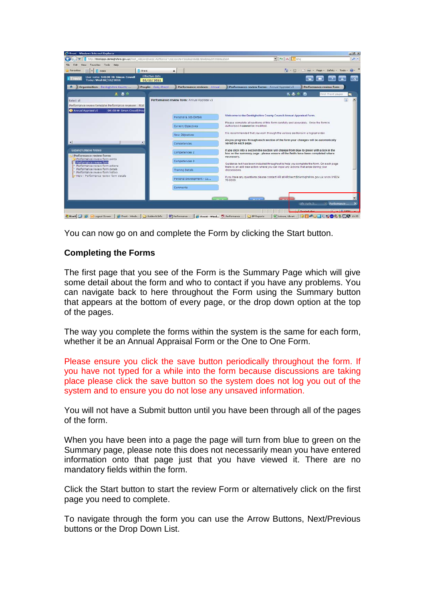|                                                                                                                          | http://ttestapps.denbighshire.gov.uk/ttest_web/wrd/run/ETADM001GF?USESSION=F1EDB2D368BE4BAABA62DF090D6EESDA | $\bullet$ $\bullet$ $\times$ $\bullet$ Bha<br>$\Omega$ .                                                                                                                                    |
|--------------------------------------------------------------------------------------------------------------------------|-------------------------------------------------------------------------------------------------------------|---------------------------------------------------------------------------------------------------------------------------------------------------------------------------------------------|
| View Favorites Tools Help<br>Edit                                                                                        |                                                                                                             |                                                                                                                                                                                             |
| <b>Il</b> iTrent<br>Favorites<br><b>Il</b> itrece<br>881<br>w.                                                           | $\mathbf{x}$                                                                                                | $-5 - 5 - 1$<br>Page<br>Safety - Tools                                                                                                                                                      |
| User name: 94109 Mr Simon Cowell<br>Today: Wed 02/11/2011                                                                | <b>Effective date</b><br>02/11/2011                                                                         |                                                                                                                                                                                             |
| Organisation: Denbighshire County                                                                                        | People: Cole, Cheryl<br>Performance reviews: Annual                                                         | Performance review forms: Annual Appraisal v3<br>Performance review form                                                                                                                    |
| 主器の                                                                                                                      |                                                                                                             | 医鼻の面<br>Find iTrent pages                                                                                                                                                                   |
| Select all<br>Performance review template Performance reviewer Stat<br>Annual Appraical v3<br>94109 Mr Simon Cowell Prov | Performance review form: Annual Appraisal v3                                                                |                                                                                                                                                                                             |
|                                                                                                                          | Personal & Job Details                                                                                      | Welcome to the Denbighshire County Council Annual Appraisal Form.                                                                                                                           |
|                                                                                                                          | Current Objectives                                                                                          | Please complete all sections of this form carefully and accurately. Once the form is<br>authorised if cannot be modified.                                                                   |
|                                                                                                                          | New Objectives                                                                                              | It is recommended that you work through the various sections in a logical order.                                                                                                            |
| $\cdot$                                                                                                                  | Competencies                                                                                                | As you progress through each section of the form your changes will be automatically<br>saved on each page.                                                                                  |
| <b>Expand/Colapse folders</b><br>Performance review forms                                                                | Competencies 2                                                                                              | If you click into a section the section will change from blue to green with a tick in the<br>box on the summary page - please ensure all the fields have been completed where<br>necessary. |
| Performance review form prints<br>Performance review form                                                                | Competencies 3                                                                                              | Guidance text has been included throughout to help you complete the form. On each page                                                                                                      |
| Performance review form actions<br>Performance review form details<br>Performance review form history                    | <b>Tranno Detais</b>                                                                                        | there is an add new action where you can input any actions that arise during your<br>discussions.                                                                                           |
| T New - Performance review form details                                                                                  | Personal Development - Cu                                                                                   | If you have any questions please contact HR at HRdirect@denbighshire.gov.uk or on 01824<br>70 6200                                                                                          |
|                                                                                                                          | Comments                                                                                                    |                                                                                                                                                                                             |
|                                                                                                                          |                                                                                                             |                                                                                                                                                                                             |
|                                                                                                                          |                                                                                                             | $\mathbf{x}$<br>Performance<br>Life cycle.D.L.                                                                                                                                              |

You can now go on and complete the Form by clicking the Start button.

### **Completing the Forms**

The first page that you see of the Form is the Summary Page which will give some detail about the form and who to contact if you have any problems. You can navigate back to here throughout the Form using the Summary button that appears at the bottom of every page, or the drop down option at the top of the pages.

The way you complete the forms within the system is the same for each form, whether it be an Annual Appraisal Form or the One to One Form.

Please ensure you click the save button periodically throughout the form. If you have not typed for a while into the form because discussions are taking place please click the save button so the system does not log you out of the system and to ensure you do not lose any unsaved information.

You will not have a Submit button until you have been through all of the pages of the form.

When you have been into a page the page will turn from blue to green on the Summary page, please note this does not necessarily mean you have entered information onto that page just that you have viewed it. There are no mandatory fields within the form.

Click the Start button to start the review Form or alternatively click on the first page you need to complete.

To navigate through the form you can use the Arrow Buttons, Next/Previous buttons or the Drop Down List.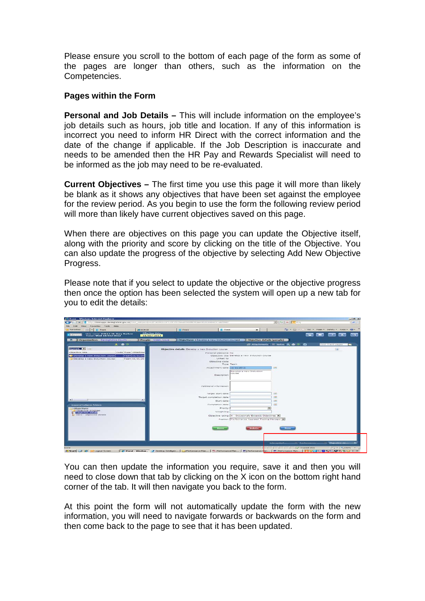Please ensure you scroll to the bottom of each page of the form as some of the pages are longer than others, such as the information on the Competencies.

### **Pages within the Form**

**Personal and Job Details –** This will include information on the employee's job details such as hours, job title and location. If any of this information is incorrect you need to inform HR Direct with the correct information and the date of the change if applicable. If the Job Description is inaccurate and needs to be amended then the HR Pay and Rewards Specialist will need to be informed as the job may need to be re-evaluated.

**Current Objectives –** The first time you use this page it will more than likely be blank as it shows any objectives that have been set against the employee for the review period. As you begin to use the form the following review period will more than likely have current objectives saved on this page.

When there are objectives on this page you can update the Objective itself, along with the priority and score by clicking on the title of the Objective. You can also update the progress of the objective by selecting Add New Objective Progress.

Please note that if you select to update the objective or the objective progress then once the option has been selected the system will open up a new tab for you to edit the details:

| <b>C. (Trent - Windows Internet Explorer</b>                                                                                |                              |                                                                                                                                                                                                                                |                                                                                                   |                                                                                                                                                          |                                      |                                               | $-101 - 81$              |
|-----------------------------------------------------------------------------------------------------------------------------|------------------------------|--------------------------------------------------------------------------------------------------------------------------------------------------------------------------------------------------------------------------------|---------------------------------------------------------------------------------------------------|----------------------------------------------------------------------------------------------------------------------------------------------------------|--------------------------------------|-----------------------------------------------|--------------------------|
|                                                                                                                             |                              | NUMBER OF A STREET AND RELEASE AND RELEASE AND DESCRIPTIONS OF A STREET ASSESSMENT A STREET AND RELEASED AND RELEASED ASSESSMENT A STREET AND RELEASED AND RELEASED ASSESSMENT ASSESSMENT ASSESSMENT ASSESSMENT ASSESSMENT ASS |                                                                                                   | $\mathbb{E} \left[ \left\  \mathcal{L}_{\mathcal{F}} \right\  \right] \geq \mathbb{E} \left[ \left\  \mathcal{L}_{\mathcal{F}} \right\  \right]$ for all |                                      |                                               | المر                     |
| View Favorites Tools Help<br><b>Edk</b>                                                                                     |                              |                                                                                                                                                                                                                                |                                                                                                   |                                                                                                                                                          |                                      |                                               |                          |
| Favorites<br>$33$ $\rightarrow$ II treet.                                                                                   | <b>SHI SORICE</b>            | <b>II</b> iTreat<br><b>II</b> trent                                                                                                                                                                                            | $\times$                                                                                          |                                                                                                                                                          |                                      | 4 - 13 - 1 (M) - Page - Safety - Tools - 22 - |                          |
| User name: 94114 Mr Gary Barlow<br>Today: Wed 18/01/2012<br>1.1442141                                                       | Effective date<br>18/01/2012 |                                                                                                                                                                                                                                |                                                                                                   |                                                                                                                                                          | <b>DESCRIPTION</b><br><b>GENERAL</b> |                                               |                          |
| Organisation: Dechighshire County<br>$\sim$                                                                                 | People: Walth, Louis         | Objectives: 4 Develop a new Induction course >                                                                                                                                                                                 | Objective details (people)                                                                        |                                                                                                                                                          |                                      |                                               |                          |
| $A \oplus 2$                                                                                                                |                              |                                                                                                                                                                                                                                |                                                                                                   | ■ Attachments ■ Notes ■ ● ● ●                                                                                                                            |                                      | find iTrent pages                             |                          |
| Current <b>C</b>                                                                                                            |                              | Objective details: Develop a new Induction course                                                                                                                                                                              |                                                                                                   |                                                                                                                                                          |                                      | (35)                                          |                          |
| Objective title<br>Code Type Attachme<br>Team 11/11/20<br>Develop a new Induction course<br>Develop a new Induction course. | Team 11/11/20                | Personal objective No.<br>Liviked to<br>Objective code<br>Attachment date 11/11/2011<br>Description                                                                                                                            | Objective title Develop a new Induction course<br>Type Team<br>Develop a new Induction<br>COLITAN |                                                                                                                                                          |                                      |                                               |                          |
|                                                                                                                             |                              | Additional information<br>Target start date<br>Target completion date                                                                                                                                                          |                                                                                                   | 12281<br>1978                                                                                                                                            |                                      |                                               |                          |
|                                                                                                                             | ×                            | Start date                                                                                                                                                                                                                     |                                                                                                   | 1991                                                                                                                                                     |                                      |                                               |                          |
| Expand/Colopse folders                                                                                                      |                              | Completion date                                                                                                                                                                                                                |                                                                                                   | (1, 1)                                                                                                                                                   |                                      |                                               |                          |
| Objectives:                                                                                                                 |                              | <b>Brionity</b>                                                                                                                                                                                                                |                                                                                                   |                                                                                                                                                          |                                      |                                               |                          |
| Objective progress<br><b>Objective details</b>                                                                              |                              | Weighting                                                                                                                                                                                                                      |                                                                                                   |                                                                                                                                                          |                                      |                                               |                          |
| prison - Objective details                                                                                                  |                              |                                                                                                                                                                                                                                | Objective rating 4 - Occasionaly Exceeds Objectives                                               |                                                                                                                                                          |                                      |                                               |                          |
|                                                                                                                             |                              |                                                                                                                                                                                                                                | Position Performance Appraisal Testing Manager                                                    |                                                                                                                                                          |                                      |                                               |                          |
|                                                                                                                             |                              |                                                                                                                                                                                                                                |                                                                                                   |                                                                                                                                                          |                                      |                                               |                          |
|                                                                                                                             |                              | <b>Burett</b>                                                                                                                                                                                                                  | <b>Diskite</b>                                                                                    | <b>Hunter</b>                                                                                                                                            |                                      |                                               |                          |
|                                                                                                                             |                              |                                                                                                                                                                                                                                |                                                                                                   |                                                                                                                                                          |                                      |                                               |                          |
|                                                                                                                             |                              |                                                                                                                                                                                                                                |                                                                                                   |                                                                                                                                                          |                                      |                                               |                          |
|                                                                                                                             |                              |                                                                                                                                                                                                                                |                                                                                                   |                                                                                                                                                          |                                      |                                               |                          |
|                                                                                                                             |                              |                                                                                                                                                                                                                                |                                                                                                   | <b>LEA cycle E</b>                                                                                                                                       |                                      | Parlamance <b>Chiective de La Chief</b>       | $\overline{\phantom{a}}$ |
| <b>Crome</b>                                                                                                                |                              |                                                                                                                                                                                                                                |                                                                                                   |                                                                                                                                                          | Trusted skee                         | $    -$                                       |                          |

You can then update the information you require, save it and then you will need to close down that tab by clicking on the X icon on the bottom right hand corner of the tab. It will then navigate you back to the form.

At this point the form will not automatically update the form with the new information, you will need to navigate forwards or backwards on the form and then come back to the page to see that it has been updated.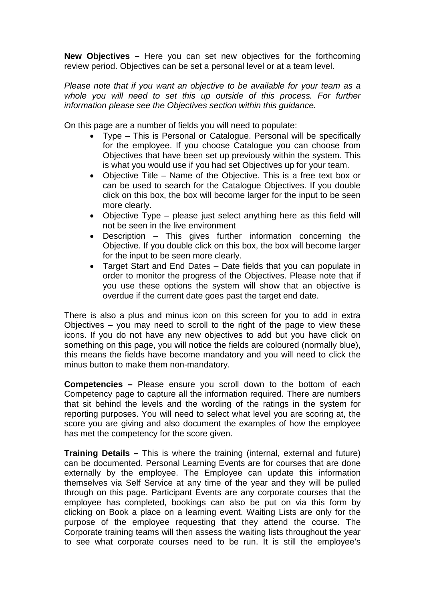**New Objectives –** Here you can set new objectives for the forthcoming review period. Objectives can be set a personal level or at a team level.

*Please note that if you want an objective to be available for your team as a*  whole you will need to set this up outside of this process. For further *information please see the Objectives section within this guidance.*

On this page are a number of fields you will need to populate:

- Type This is Personal or Catalogue. Personal will be specifically for the employee. If you choose Catalogue you can choose from Objectives that have been set up previously within the system. This is what you would use if you had set Objectives up for your team.
- Objective Title Name of the Objective. This is a free text box or can be used to search for the Catalogue Objectives. If you double click on this box, the box will become larger for the input to be seen more clearly.
- Objective Type please just select anything here as this field will not be seen in the live environment
- Description This gives further information concerning the Objective. If you double click on this box, the box will become larger for the input to be seen more clearly.
- Target Start and End Dates Date fields that you can populate in order to monitor the progress of the Objectives. Please note that if you use these options the system will show that an objective is overdue if the current date goes past the target end date.

There is also a plus and minus icon on this screen for you to add in extra Objectives – you may need to scroll to the right of the page to view these icons. If you do not have any new objectives to add but you have click on something on this page, you will notice the fields are coloured (normally blue), this means the fields have become mandatory and you will need to click the minus button to make them non-mandatory.

**Competencies –** Please ensure you scroll down to the bottom of each Competency page to capture all the information required. There are numbers that sit behind the levels and the wording of the ratings in the system for reporting purposes. You will need to select what level you are scoring at, the score you are giving and also document the examples of how the employee has met the competency for the score given.

**Training Details –** This is where the training (internal, external and future) can be documented. Personal Learning Events are for courses that are done externally by the employee. The Employee can update this information themselves via Self Service at any time of the year and they will be pulled through on this page. Participant Events are any corporate courses that the employee has completed, bookings can also be put on via this form by clicking on Book a place on a learning event. Waiting Lists are only for the purpose of the employee requesting that they attend the course. The Corporate training teams will then assess the waiting lists throughout the year to see what corporate courses need to be run. It is still the employee's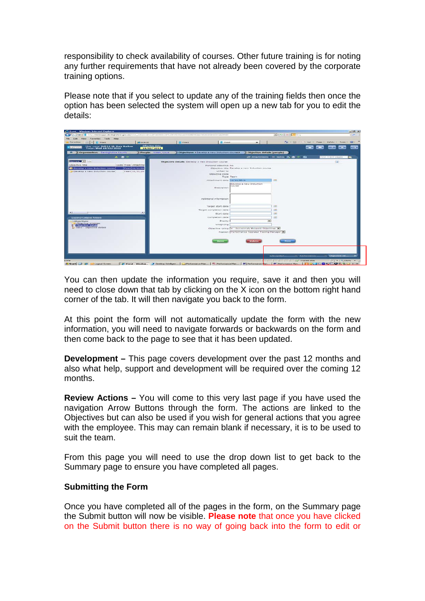responsibility to check availability of courses. Other future training is for noting any further requirements that have not already been covered by the corporate training options.

Please note that if you select to update any of the training fields then once the option has been selected the system will open up a new tab for you to edit the details:

| <b>Catrent - Windows Internet Explorer</b>                                 |                              |                                                                                                                                                                                                        |                                                         |                                       |                                                                                                                                                                                                                                                                                                                        | $-101 - 81$ |
|----------------------------------------------------------------------------|------------------------------|--------------------------------------------------------------------------------------------------------------------------------------------------------------------------------------------------------|---------------------------------------------------------|---------------------------------------|------------------------------------------------------------------------------------------------------------------------------------------------------------------------------------------------------------------------------------------------------------------------------------------------------------------------|-------------|
|                                                                            |                              | http://ttwetapps.denbighehme.gov.uk/ttwst_web/em/frmm/ftTAD19001/GP7U19E55b34mAn5e0d8E9EAAe9528304B483C1A8594D                                                                                         |                                                         | $-1$ $+$ $+$ $   -$                   |                                                                                                                                                                                                                                                                                                                        | u.          |
| View Favorites Tools Help<br>Edit                                          |                              |                                                                                                                                                                                                        |                                                         |                                       |                                                                                                                                                                                                                                                                                                                        |             |
| Favorkee<br>$-$ II from<br>582.                                            | <b>SHE SORICE</b>            | Il trent<br><b>Il</b> iTrent                                                                                                                                                                           | $\times$                                                |                                       | [ ] - [ ] - - 1 (M) - Page - Safety - Tools - @ -                                                                                                                                                                                                                                                                      |             |
| User name: 94114 Mr Gary Barlow<br>Today: Wed 18/01/2012<br><b>I</b> Frent | Effective date<br>18/01/2012 |                                                                                                                                                                                                        |                                                         | <b>MACHINE</b>                        | 60226<br><b>COMPANY</b>                                                                                                                                                                                                                                                                                                | $-111$      |
| Organisation: Denhighshire County<br><b>STAR</b>                           | People: Wakh, Louis          | Objectives: 4 Develop a new Induction course >                                                                                                                                                         | Objective details (people)                              |                                       |                                                                                                                                                                                                                                                                                                                        |             |
| $A$ $B$ $D$                                                                |                              |                                                                                                                                                                                                        |                                                         | ■ Attachments ■ Notes 画 ● ● ■         | Find iTrent pages                                                                                                                                                                                                                                                                                                      |             |
| Current <b>For</b>                                                         |                              | Objective details: Develop a new Induction course                                                                                                                                                      |                                                         |                                       | <b>REA</b>                                                                                                                                                                                                                                                                                                             |             |
| Objective title<br>Code Type Attachme                                      |                              | Personal objective No.                                                                                                                                                                                 |                                                         |                                       |                                                                                                                                                                                                                                                                                                                        |             |
| Team 11/11/20<br>Duvulop a new Induction course                            |                              |                                                                                                                                                                                                        | Objective title Develop a new Induction course          |                                       |                                                                                                                                                                                                                                                                                                                        |             |
| Develop a new Induction course<br>Team 11/11/20                            |                              | Linked to                                                                                                                                                                                              |                                                         |                                       |                                                                                                                                                                                                                                                                                                                        |             |
|                                                                            |                              | Objective code                                                                                                                                                                                         | Type Team                                               |                                       |                                                                                                                                                                                                                                                                                                                        |             |
|                                                                            |                              | Attachment date 11/11/2011                                                                                                                                                                             |                                                         | <b>COFF</b>                           |                                                                                                                                                                                                                                                                                                                        |             |
|                                                                            |                              |                                                                                                                                                                                                        | Develop a new Induction                                 |                                       |                                                                                                                                                                                                                                                                                                                        |             |
|                                                                            |                              | Description                                                                                                                                                                                            | COLITIER                                                |                                       |                                                                                                                                                                                                                                                                                                                        |             |
|                                                                            |                              |                                                                                                                                                                                                        |                                                         |                                       |                                                                                                                                                                                                                                                                                                                        |             |
|                                                                            |                              |                                                                                                                                                                                                        |                                                         |                                       |                                                                                                                                                                                                                                                                                                                        |             |
|                                                                            |                              | Additional information                                                                                                                                                                                 |                                                         |                                       |                                                                                                                                                                                                                                                                                                                        |             |
|                                                                            |                              |                                                                                                                                                                                                        |                                                         |                                       |                                                                                                                                                                                                                                                                                                                        |             |
|                                                                            |                              | Target start date                                                                                                                                                                                      |                                                         | 1371                                  |                                                                                                                                                                                                                                                                                                                        |             |
|                                                                            |                              | Target completion date                                                                                                                                                                                 |                                                         | 198                                   |                                                                                                                                                                                                                                                                                                                        |             |
|                                                                            | ٠                            | Start date                                                                                                                                                                                             |                                                         | 1991                                  |                                                                                                                                                                                                                                                                                                                        |             |
| Expand/Colapse folders                                                     |                              | Completion date                                                                                                                                                                                        |                                                         | <b>Daily</b>                          |                                                                                                                                                                                                                                                                                                                        |             |
| objectives.                                                                |                              | <b>Priority</b>                                                                                                                                                                                        | ×                                                       |                                       |                                                                                                                                                                                                                                                                                                                        |             |
| Objective progress                                                         |                              | Welghting                                                                                                                                                                                              |                                                         |                                       |                                                                                                                                                                                                                                                                                                                        |             |
| <b>Chiertive detain</b><br>prisew - Objective details                      |                              |                                                                                                                                                                                                        | Objective rating a - Occasionaly Exceeds Objectives [*] |                                       |                                                                                                                                                                                                                                                                                                                        |             |
|                                                                            |                              |                                                                                                                                                                                                        | Position Performance Appraisal Testing Manager [C]      |                                       |                                                                                                                                                                                                                                                                                                                        |             |
|                                                                            |                              |                                                                                                                                                                                                        |                                                         |                                       |                                                                                                                                                                                                                                                                                                                        |             |
|                                                                            |                              |                                                                                                                                                                                                        |                                                         |                                       |                                                                                                                                                                                                                                                                                                                        |             |
|                                                                            |                              | <b>Burney</b>                                                                                                                                                                                          | <b>Distance</b>                                         | Honey                                 |                                                                                                                                                                                                                                                                                                                        |             |
|                                                                            |                              |                                                                                                                                                                                                        |                                                         |                                       |                                                                                                                                                                                                                                                                                                                        |             |
|                                                                            |                              |                                                                                                                                                                                                        |                                                         |                                       |                                                                                                                                                                                                                                                                                                                        |             |
|                                                                            |                              |                                                                                                                                                                                                        |                                                         |                                       |                                                                                                                                                                                                                                                                                                                        |             |
|                                                                            |                              |                                                                                                                                                                                                        |                                                         | 20 Pacformance<br><b>Life code Fu</b> | Chiective desse<br>$\sim$                                                                                                                                                                                                                                                                                              | $\mathbf x$ |
| <b>CHOPVB</b>                                                              |                              |                                                                                                                                                                                                        |                                                         | Trusted skes                          | $=$ $\frac{1}{2}$ $\frac{1}{2}$ $\frac{1}{2}$ $\frac{1}{2}$ $\frac{1}{2}$ $\frac{1}{2}$ $\frac{1}{2}$ $\frac{1}{2}$ $\frac{1}{2}$ $\frac{1}{2}$ $\frac{1}{2}$ $\frac{1}{2}$ $\frac{1}{2}$ $\frac{1}{2}$ $\frac{1}{2}$ $\frac{1}{2}$ $\frac{1}{2}$ $\frac{1}{2}$ $\frac{1}{2}$ $\frac{1}{2}$ $\frac{1}{2}$ $\frac{1}{2$ |             |
| <b>Bristant</b> (a) @<br>Logista Screen                                    |                              | Siffrent - Window. P Desktop Intelligen   Desformerue Man   5. Performance Man   18] Performance Man   18] Performance Man   18] Performance Man   18] Performance Man   18] Performance Man   18] Per |                                                         |                                       |                                                                                                                                                                                                                                                                                                                        |             |

You can then update the information you require, save it and then you will need to close down that tab by clicking on the X icon on the bottom right hand corner of the tab. It will then navigate you back to the form.

At this point the form will not automatically update the form with the new information, you will need to navigate forwards or backwards on the form and then come back to the page to see that it has been updated.

**Development –** This page covers development over the past 12 months and also what help, support and development will be required over the coming 12 months.

**Review Actions –** You will come to this very last page if you have used the navigation Arrow Buttons through the form. The actions are linked to the Objectives but can also be used if you wish for general actions that you agree with the employee. This may can remain blank if necessary, it is to be used to suit the team.

From this page you will need to use the drop down list to get back to the Summary page to ensure you have completed all pages.

### **Submitting the Form**

Once you have completed all of the pages in the form, on the Summary page the Submit button will now be visible. **Please note** that once you have clicked on the Submit button there is no way of going back into the form to edit or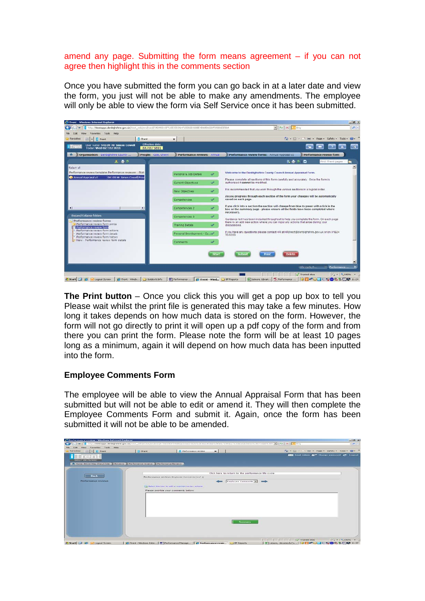#### amend any page. Submitting the form means agreement – if you can not agree then highlight this in the comments section

Once you have submitted the form you can go back in at a later date and view the form, you just will not be able to make any amendments. The employee will only be able to view the form via Self Service once it has been submitted.



**The Print button** – Once you click this you will get a pop up box to tell you

Please wait whilst the print file is generated this may take a few minutes. How long it takes depends on how much data is stored on the form. However, the form will not go directly to print it will open up a pdf copy of the form and from there you can print the form. Please note the form will be at least 10 pages long as a minimum, again it will depend on how much data has been inputted into the form.

# **Employee Comments Form**

The employee will be able to view the Annual Appraisal Form that has been submitted but will not be able to edit or amend it. They will then complete the Employee Comments Form and submit it. Again, once the form has been submitted it will not be able to be amended.

| Favorites                                                                            |          |                                                          | $\frac{1}{2}$ - [] - $\frac{1}{2}$ (m) - Page - Safety - Tools - $\frac{1}{2}$ - <sup>39</sup> |
|--------------------------------------------------------------------------------------|----------|----------------------------------------------------------|------------------------------------------------------------------------------------------------|
| $  \cdot  $ II from                                                                  | Il creek | <b>D</b> Performance review<br>$\times$                  |                                                                                                |
|                                                                                      |          |                                                          | <b>FEET</b> Lmail Admin <b>or</b> Change password <b>c</b> <sup>+</sup> Logout                 |
| <b>SEELF SEEVIGE</b>                                                                 |          |                                                          |                                                                                                |
| P Mana: 94110 Miss Charyl Cole   Reviews   Performance reviews   Performance Reviews |          |                                                          |                                                                                                |
|                                                                                      |          |                                                          |                                                                                                |
|                                                                                      |          |                                                          | Click here to return to the performance life cycle                                             |
| <b>Back</b>                                                                          |          | Performance review: finoloyee Comments (1 of 1)          |                                                                                                |
| Performance reviews                                                                  |          |                                                          | Employee Comments = =                                                                          |
|                                                                                      |          |                                                          |                                                                                                |
|                                                                                      |          | [11] Select this loon to add or maintain review actions: |                                                                                                |
|                                                                                      |          | Please provide your comments below:                      |                                                                                                |
|                                                                                      |          |                                                          |                                                                                                |
|                                                                                      |          |                                                          |                                                                                                |
|                                                                                      |          |                                                          |                                                                                                |
|                                                                                      |          |                                                          |                                                                                                |
|                                                                                      |          |                                                          |                                                                                                |
|                                                                                      |          |                                                          |                                                                                                |
|                                                                                      |          |                                                          |                                                                                                |
|                                                                                      |          |                                                          |                                                                                                |
|                                                                                      |          |                                                          |                                                                                                |
|                                                                                      |          |                                                          | <b>Summary</b>                                                                                 |
|                                                                                      |          |                                                          |                                                                                                |
|                                                                                      |          |                                                          |                                                                                                |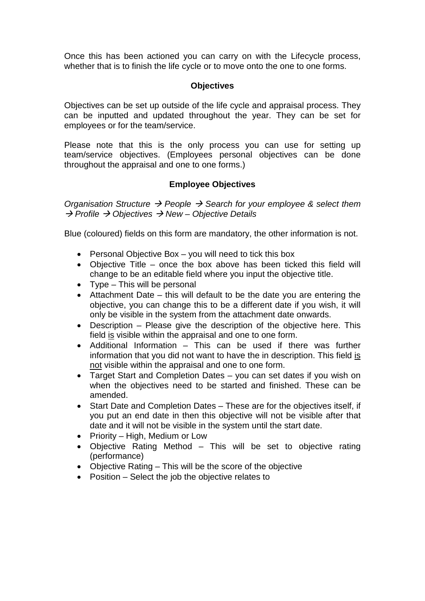Once this has been actioned you can carry on with the Lifecycle process, whether that is to finish the life cycle or to move onto the one to one forms.

## **Objectives**

Objectives can be set up outside of the life cycle and appraisal process. They can be inputted and updated throughout the year. They can be set for employees or for the team/service.

Please note that this is the only process you can use for setting up team/service objectives. (Employees personal objectives can be done throughout the appraisal and one to one forms.)

# **Employee Objectives**

*Organisation Structure People Search for your employee & select them Profile Objectives New – Objective Details*

Blue (coloured) fields on this form are mandatory, the other information is not.

- Personal Objective Box you will need to tick this box
- Objective Title once the box above has been ticked this field will change to be an editable field where you input the objective title.
- Type This will be personal
- Attachment Date this will default to be the date you are entering the objective, you can change this to be a different date if you wish, it will only be visible in the system from the attachment date onwards.
- Description Please give the description of the objective here. This field is visible within the appraisal and one to one form.
- Additional Information This can be used if there was further information that you did not want to have the in description. This field is not visible within the appraisal and one to one form.
- Target Start and Completion Dates you can set dates if you wish on when the objectives need to be started and finished. These can be amended.
- Start Date and Completion Dates These are for the objectives itself, if you put an end date in then this objective will not be visible after that date and it will not be visible in the system until the start date.
- Priority High, Medium or Low
- Objective Rating Method This will be set to objective rating (performance)
- Objective Rating This will be the score of the objective
- Position Select the job the objective relates to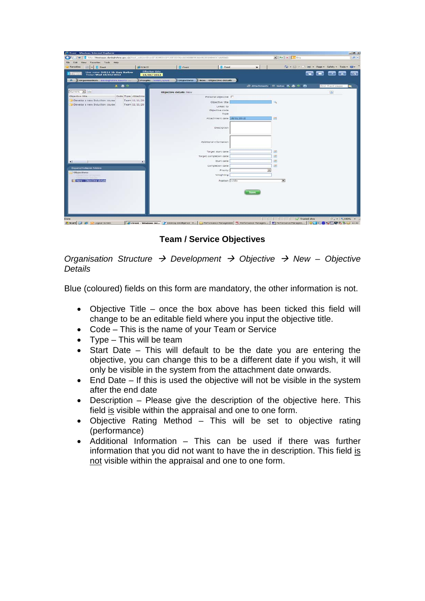| http://ttestapps.denbighshire.gov.uk/ttest_web/wrd/run/ETADM001GP?USESSD0N=A65408BE9EAA49528304B483C1A8596D<br>$\overline{\phantom{a}}$ |                              |                        |                                  |          | $\blacksquare$ $\rightarrow$ $\times$ $\blacksquare$ Brig        |             |                   | $\alpha$      |
|-----------------------------------------------------------------------------------------------------------------------------------------|------------------------------|------------------------|----------------------------------|----------|------------------------------------------------------------------|-------------|-------------------|---------------|
| View Favorites Tools Help<br>Edit                                                                                                       |                              |                        |                                  |          |                                                                  |             |                   |               |
| $EB$ + $\prod$ (Treck<br>Favorites                                                                                                      | <b>29 SORCE</b>              | <b>I</b> iTrent        | Il iTrent                        | $\times$ | $\sqrt{2}$ - [3] - 13 (m) - Page - Safety - Tools - $\sqrt{2}$ - |             |                   |               |
| User name: 94114 Mr Gary Barlow<br>Today: Wed 18/01/2012<br>$i$ Tren                                                                    | Effective date<br>18/01/2012 |                        |                                  |          |                                                                  | <b>HELP</b> |                   |               |
| Organisation: Denbighshire County<br>$\mathbf{r}$                                                                                       | People: Walsh, Louis         |                        | Objectives New Objective details |          |                                                                  |             |                   |               |
| ■ ● 2                                                                                                                                   |                              |                        |                                  |          | ■ Attachments ■ Notes 民事 2 ■                                     |             | Find (Trent pages | <b>I</b> Fall |
| Current -                                                                                                                               |                              | Objective details: New |                                  |          |                                                                  |             | (8)               |               |
| Objective title                                                                                                                         | Code Type Attachme           |                        | Personal objective F             |          |                                                                  |             |                   |               |
| Develop a new Induction course                                                                                                          | Team 11/11/20                |                        | Objective title                  |          |                                                                  |             |                   |               |
| Develop a new Induction course                                                                                                          | Team 11/11/20                |                        | Linked to                        |          |                                                                  |             |                   |               |
|                                                                                                                                         |                              |                        | Objective code                   |          |                                                                  |             |                   |               |
|                                                                                                                                         |                              |                        | Type                             |          |                                                                  |             |                   |               |
|                                                                                                                                         |                              |                        | Attachment date 18/01/2012       |          | <b>CES</b>                                                       |             |                   |               |
|                                                                                                                                         |                              |                        | Description                      |          |                                                                  |             |                   |               |
|                                                                                                                                         |                              |                        | Additional information           |          |                                                                  |             |                   |               |
|                                                                                                                                         |                              |                        | Target start date                |          | <b>COL</b>                                                       |             |                   |               |
|                                                                                                                                         |                              |                        | Target completion date           |          | 国                                                                |             |                   |               |
|                                                                                                                                         | $\cdot$                      |                        | Start date                       |          | 画                                                                |             |                   |               |
|                                                                                                                                         |                              |                        | Completion date                  |          | 圖                                                                |             |                   |               |
| Expand/Colapse folders                                                                                                                  |                              |                        | Priority                         | $\cdot$  |                                                                  |             |                   |               |
| Objectives<br><b>Released Artistics</b>                                                                                                 |                              |                        | Weighting                        |          |                                                                  |             |                   |               |
| IR New - Objective details                                                                                                              |                              |                        | Postion <al></al>                |          | $\sim$                                                           |             |                   |               |
|                                                                                                                                         |                              |                        |                                  |          |                                                                  |             |                   |               |
|                                                                                                                                         |                              |                        |                                  |          |                                                                  |             |                   |               |
|                                                                                                                                         |                              |                        |                                  | Save     |                                                                  |             |                   |               |
|                                                                                                                                         |                              |                        |                                  |          |                                                                  |             |                   |               |
|                                                                                                                                         |                              |                        |                                  |          |                                                                  |             |                   |               |
|                                                                                                                                         |                              |                        |                                  |          |                                                                  |             |                   |               |
|                                                                                                                                         |                              |                        |                                  |          |                                                                  |             |                   |               |

**Team / Service Objectives**

*Organisation Structure*  $\rightarrow$  *Development*  $\rightarrow$  *Objective*  $\rightarrow$  *New – Objective Details*

Blue (coloured) fields on this form are mandatory, the other information is not.

- Objective Title once the box above has been ticked this field will change to be an editable field where you input the objective title.
- Code This is the name of your Team or Service
- Type This will be team
- Start Date This will default to be the date you are entering the objective, you can change this to be a different date if you wish, it will only be visible in the system from the attachment date onwards.
- End Date If this is used the objective will not be visible in the system after the end date
- Description Please give the description of the objective here. This field is visible within the appraisal and one to one form.
- Objective Rating Method This will be set to objective rating (performance)
- Additional Information This can be used if there was further information that you did not want to have the in description. This field is not visible within the appraisal and one to one form.